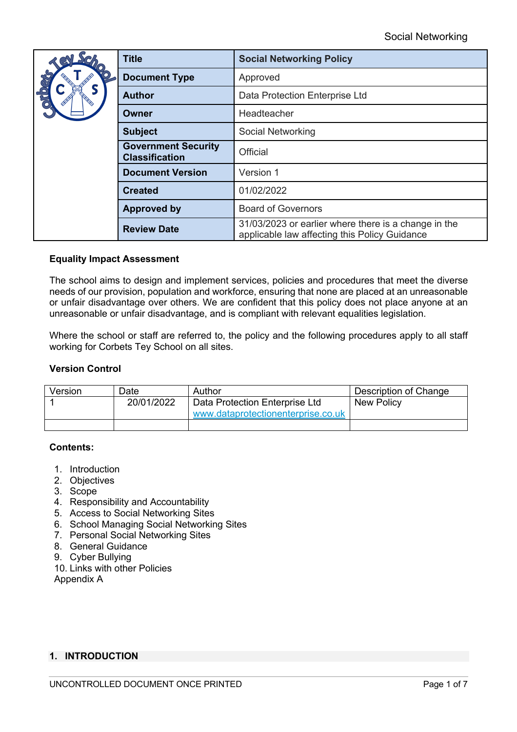| Sel              | <b>Title</b>                                        | <b>Social Networking Policy</b>                                                                       |  |
|------------------|-----------------------------------------------------|-------------------------------------------------------------------------------------------------------|--|
| <b>RG</b><br>CHO | <b>Document Type</b>                                | Approved                                                                                              |  |
|                  | <b>Author</b>                                       | Data Protection Enterprise Ltd                                                                        |  |
|                  | Owner                                               | Headteacher                                                                                           |  |
|                  | <b>Subject</b>                                      | Social Networking                                                                                     |  |
|                  | <b>Government Security</b><br><b>Classification</b> | Official                                                                                              |  |
|                  | <b>Document Version</b>                             | Version 1                                                                                             |  |
|                  | <b>Created</b>                                      | 01/02/2022                                                                                            |  |
|                  | <b>Approved by</b>                                  | <b>Board of Governors</b>                                                                             |  |
|                  | <b>Review Date</b>                                  | 31/03/2023 or earlier where there is a change in the<br>applicable law affecting this Policy Guidance |  |

### **Equality Impact Assessment**

The school aims to design and implement services, policies and procedures that meet the diverse needs of our provision, population and workforce, ensuring that none are placed at an unreasonable or unfair disadvantage over others. We are confident that this policy does not place anyone at an unreasonable or unfair disadvantage, and is compliant with relevant equalities legislation.

Where the school or staff are referred to, the policy and the following procedures apply to all staff working for Corbets Tey School on all sites.

### **Version Control**

| Version | Date       | Author                                                               | Description of Change |
|---------|------------|----------------------------------------------------------------------|-----------------------|
|         | 20/01/2022 | Data Protection Enterprise Ltd<br>www.dataprotectionenterprise.co.uk | <b>New Policy</b>     |
|         |            |                                                                      |                       |

### **Contents:**

- 1. Introduction
- 2. Objectives
- 3. Scope
- 4. Responsibility and Accountability
- 5. Access to Social Networking Sites
- 6. School Managing Social Networking Sites
- 7. Personal Social Networking Sites
- 8. General Guidance
- 9. Cyber Bullying
- 10. Links with other Policies

Appendix A

### **1. INTRODUCTION**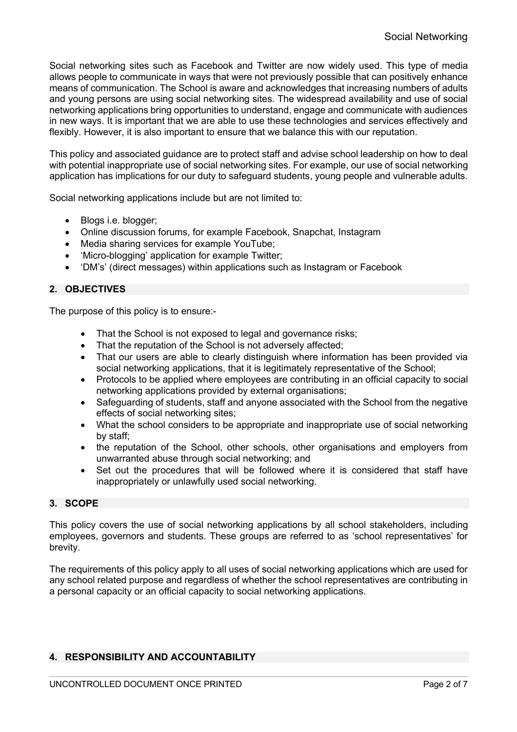Social networking sites such as Facebook and Twitter are now widely used. This type of media allows people to communicate in ways that were not previously possible that can positively enhance means of communication. The School is aware and acknowledges that increasing numbers of adults and young persons are using social networking sites. The widespread availability and use of social networking applications bring opportunities to understand, engage and communicate with audiences in new ways. It is important that we are able to use these technologies and services effectively and flexibly. However, it is also important to ensure that we balance this with our reputation.

This policy and associated guidance are to protect staff and advise school leadership on how to deal with potential inappropriate use of social networking sites. For example, our use of social networking application has implications for our duty to safeguard students, young people and vulnerable adults.

Social networking applications include but are not limited to:

- Blogs i.e. blogger;
- Online discussion forums, for example Facebook, Snapchat, Instagram
- Media sharing services for example YouTube:
- 'Micro-blogging' application for example Twitter;
- 'DM's' (direct messages) within applications such as Instagram or Facebook

## **2. OBJECTIVES**

The purpose of this policy is to ensure:-

- That the School is not exposed to legal and governance risks;
- That the reputation of the School is not adversely affected;
- That our users are able to clearly distinguish where information has been provided via social networking applications, that it is legitimately representative of the School;
- Protocols to be applied where employees are contributing in an official capacity to social networking applications provided by external organisations;
- Safeguarding of students, staff and anyone associated with the School from the negative effects of social networking sites;
- What the school considers to be appropriate and inappropriate use of social networking by staff;
- the reputation of the School, other schools, other organisations and employers from unwarranted abuse through social networking; and
- Set out the procedures that will be followed where it is considered that staff have inappropriately or unlawfully used social networking.

### **3. SCOPE**

This policy covers the use of social networking applications by all school stakeholders, including employees, governors and students. These groups are referred to as 'school representatives' for brevity.

The requirements of this policy apply to all uses of social networking applications which are used for any school related purpose and regardless of whether the school representatives are contributing in a personal capacity or an official capacity to social networking applications.

# **4. RESPONSIBILITY AND ACCOUNTABILITY**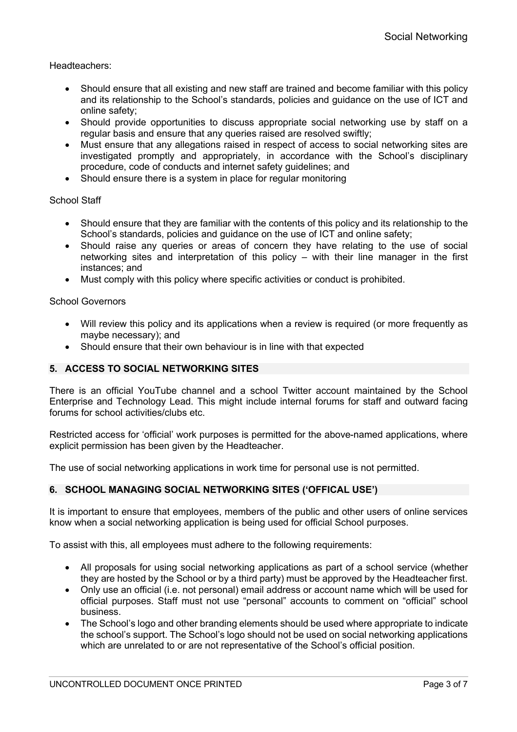Headteachers:

- Should ensure that all existing and new staff are trained and become familiar with this policy and its relationship to the School's standards, policies and guidance on the use of ICT and online safety;
- Should provide opportunities to discuss appropriate social networking use by staff on a regular basis and ensure that any queries raised are resolved swiftly;
- Must ensure that any allegations raised in respect of access to social networking sites are investigated promptly and appropriately, in accordance with the School's disciplinary procedure, code of conducts and internet safety guidelines; and
- Should ensure there is a system in place for regular monitoring

### School Staff

- Should ensure that they are familiar with the contents of this policy and its relationship to the School's standards, policies and guidance on the use of ICT and online safety;
- Should raise any queries or areas of concern they have relating to the use of social networking sites and interpretation of this policy – with their line manager in the first instances; and
- Must comply with this policy where specific activities or conduct is prohibited.

#### School Governors

- Will review this policy and its applications when a review is required (or more frequently as maybe necessary); and
- Should ensure that their own behaviour is in line with that expected

### **5. ACCESS TO SOCIAL NETWORKING SITES**

There is an official YouTube channel and a school Twitter account maintained by the School Enterprise and Technology Lead. This might include internal forums for staff and outward facing forums for school activities/clubs etc.

Restricted access for 'official' work purposes is permitted for the above-named applications, where explicit permission has been given by the Headteacher.

The use of social networking applications in work time for personal use is not permitted.

### **6. SCHOOL MANAGING SOCIAL NETWORKING SITES ('OFFICAL USE')**

It is important to ensure that employees, members of the public and other users of online services know when a social networking application is being used for official School purposes.

To assist with this, all employees must adhere to the following requirements:

- All proposals for using social networking applications as part of a school service (whether they are hosted by the School or by a third party) must be approved by the Headteacher first.
- Only use an official (i.e. not personal) email address or account name which will be used for official purposes. Staff must not use "personal" accounts to comment on "official" school business.
- The School's logo and other branding elements should be used where appropriate to indicate the school's support. The School's logo should not be used on social networking applications which are unrelated to or are not representative of the School's official position.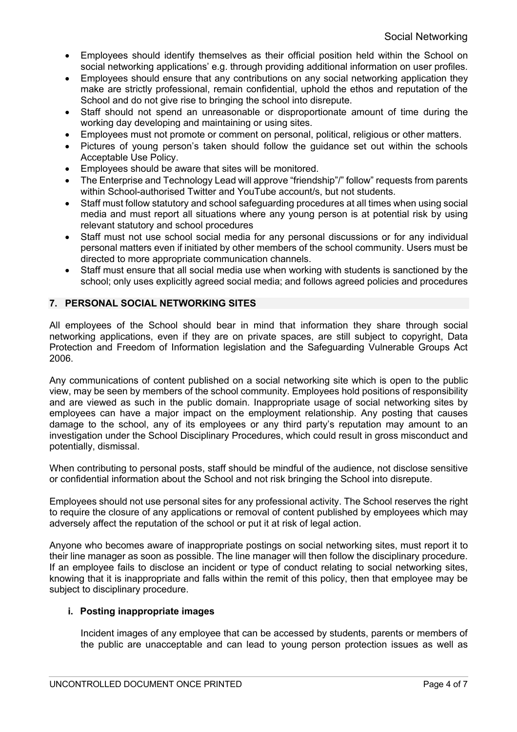- Employees should identify themselves as their official position held within the School on social networking applications' e.g. through providing additional information on user profiles.
- Employees should ensure that any contributions on any social networking application they make are strictly professional, remain confidential, uphold the ethos and reputation of the School and do not give rise to bringing the school into disrepute.
- Staff should not spend an unreasonable or disproportionate amount of time during the working day developing and maintaining or using sites.
- Employees must not promote or comment on personal, political, religious or other matters.
- Pictures of young person's taken should follow the guidance set out within the schools Acceptable Use Policy.
- Employees should be aware that sites will be monitored.
- The Enterprise and Technology Lead will approve "friendship"/" follow" requests from parents within School-authorised Twitter and YouTube account/s, but not students.
- Staff must follow statutory and school safeguarding procedures at all times when using social media and must report all situations where any young person is at potential risk by using relevant statutory and school procedures
- Staff must not use school social media for any personal discussions or for any individual personal matters even if initiated by other members of the school community. Users must be directed to more appropriate communication channels.
- Staff must ensure that all social media use when working with students is sanctioned by the school; only uses explicitly agreed social media; and follows agreed policies and procedures

## **7. PERSONAL SOCIAL NETWORKING SITES**

All employees of the School should bear in mind that information they share through social networking applications, even if they are on private spaces, are still subject to copyright, Data Protection and Freedom of Information legislation and the Safeguarding Vulnerable Groups Act 2006.

Any communications of content published on a social networking site which is open to the public view, may be seen by members of the school community. Employees hold positions of responsibility and are viewed as such in the public domain. Inappropriate usage of social networking sites by employees can have a major impact on the employment relationship. Any posting that causes damage to the school, any of its employees or any third party's reputation may amount to an investigation under the School Disciplinary Procedures, which could result in gross misconduct and potentially, dismissal.

When contributing to personal posts, staff should be mindful of the audience, not disclose sensitive or confidential information about the School and not risk bringing the School into disrepute.

Employees should not use personal sites for any professional activity. The School reserves the right to require the closure of any applications or removal of content published by employees which may adversely affect the reputation of the school or put it at risk of legal action.

Anyone who becomes aware of inappropriate postings on social networking sites, must report it to their line manager as soon as possible. The line manager will then follow the disciplinary procedure. If an employee fails to disclose an incident or type of conduct relating to social networking sites, knowing that it is inappropriate and falls within the remit of this policy, then that employee may be subject to disciplinary procedure.

### **i. Posting inappropriate images**

Incident images of any employee that can be accessed by students, parents or members of the public are unacceptable and can lead to young person protection issues as well as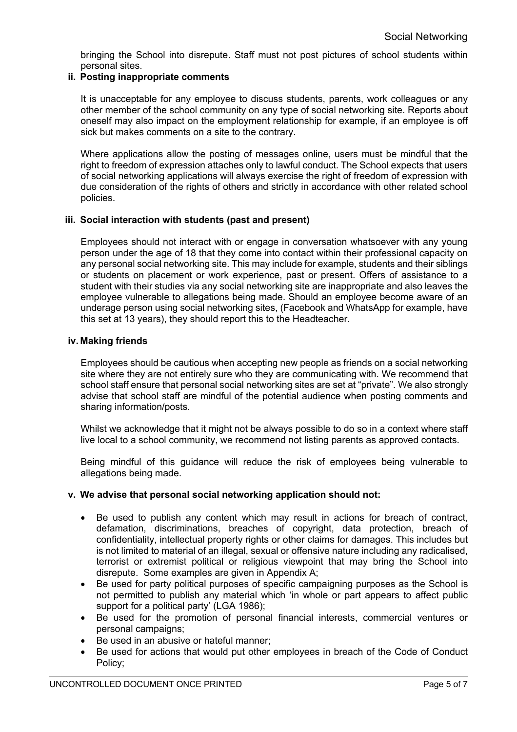bringing the School into disrepute. Staff must not post pictures of school students within personal sites.

### **ii. Posting inappropriate comments**

It is unacceptable for any employee to discuss students, parents, work colleagues or any other member of the school community on any type of social networking site. Reports about oneself may also impact on the employment relationship for example, if an employee is off sick but makes comments on a site to the contrary.

Where applications allow the posting of messages online, users must be mindful that the right to freedom of expression attaches only to lawful conduct. The School expects that users of social networking applications will always exercise the right of freedom of expression with due consideration of the rights of others and strictly in accordance with other related school policies.

### **iii. Social interaction with students (past and present)**

Employees should not interact with or engage in conversation whatsoever with any young person under the age of 18 that they come into contact within their professional capacity on any personal social networking site. This may include for example, students and their siblings or students on placement or work experience, past or present. Offers of assistance to a student with their studies via any social networking site are inappropriate and also leaves the employee vulnerable to allegations being made. Should an employee become aware of an underage person using social networking sites, (Facebook and WhatsApp for example, have this set at 13 years), they should report this to the Headteacher.

### **iv. Making friends**

Employees should be cautious when accepting new people as friends on a social networking site where they are not entirely sure who they are communicating with. We recommend that school staff ensure that personal social networking sites are set at "private". We also strongly advise that school staff are mindful of the potential audience when posting comments and sharing information/posts.

Whilst we acknowledge that it might not be always possible to do so in a context where staff live local to a school community, we recommend not listing parents as approved contacts.

Being mindful of this guidance will reduce the risk of employees being vulnerable to allegations being made.

### **v. We advise that personal social networking application should not:**

- Be used to publish any content which may result in actions for breach of contract, defamation, discriminations, breaches of copyright, data protection, breach of confidentiality, intellectual property rights or other claims for damages. This includes but is not limited to material of an illegal, sexual or offensive nature including any radicalised, terrorist or extremist political or religious viewpoint that may bring the School into disrepute. Some examples are given in Appendix A;
- Be used for party political purposes of specific campaigning purposes as the School is not permitted to publish any material which 'in whole or part appears to affect public support for a political party' (LGA 1986);
- Be used for the promotion of personal financial interests, commercial ventures or personal campaigns;
- Be used in an abusive or hateful manner:
- Be used for actions that would put other employees in breach of the Code of Conduct Policy;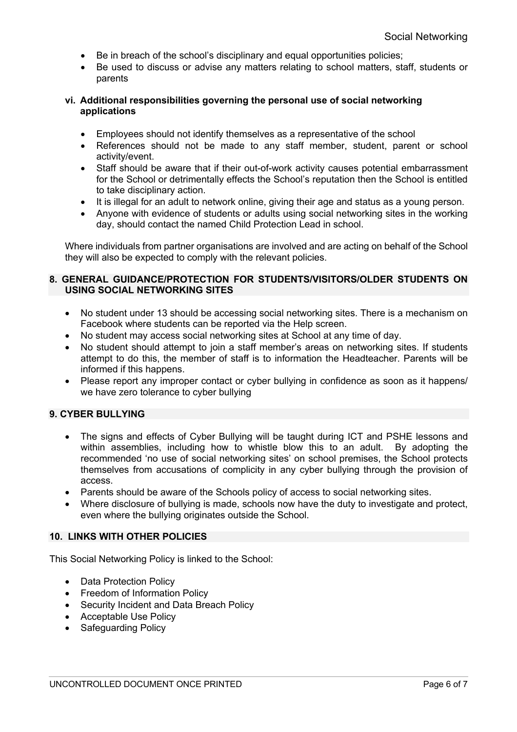- Be in breach of the school's disciplinary and equal opportunities policies;
- Be used to discuss or advise any matters relating to school matters, staff, students or parents

#### **vi. Additional responsibilities governing the personal use of social networking applications**

- Employees should not identify themselves as a representative of the school
- References should not be made to any staff member, student, parent or school activity/event.
- Staff should be aware that if their out-of-work activity causes potential embarrassment for the School or detrimentally effects the School's reputation then the School is entitled to take disciplinary action.
- It is illegal for an adult to network online, giving their age and status as a young person.
- Anyone with evidence of students or adults using social networking sites in the working day, should contact the named Child Protection Lead in school.

Where individuals from partner organisations are involved and are acting on behalf of the School they will also be expected to comply with the relevant policies.

#### **8. GENERAL GUIDANCE/PROTECTION FOR STUDENTS/VISITORS/OLDER STUDENTS ON USING SOCIAL NETWORKING SITES**

- No student under 13 should be accessing social networking sites. There is a mechanism on Facebook where students can be reported via the Help screen.
- No student may access social networking sites at School at any time of day.
- No student should attempt to join a staff member's areas on networking sites. If students attempt to do this, the member of staff is to information the Headteacher. Parents will be informed if this happens.
- Please report any improper contact or cyber bullying in confidence as soon as it happens/ we have zero tolerance to cyber bullying

## **9. CYBER BULLYING**

- The signs and effects of Cyber Bullying will be taught during ICT and PSHE lessons and within assemblies, including how to whistle blow this to an adult. By adopting the recommended 'no use of social networking sites' on school premises, the School protects themselves from accusations of complicity in any cyber bullying through the provision of access.
- Parents should be aware of the Schools policy of access to social networking sites.
- Where disclosure of bullying is made, schools now have the duty to investigate and protect, even where the bullying originates outside the School.

### **10. LINKS WITH OTHER POLICIES**

This Social Networking Policy is linked to the School:

- Data Protection Policy
- Freedom of Information Policy
- Security Incident and Data Breach Policy
- Acceptable Use Policy
- Safeguarding Policy